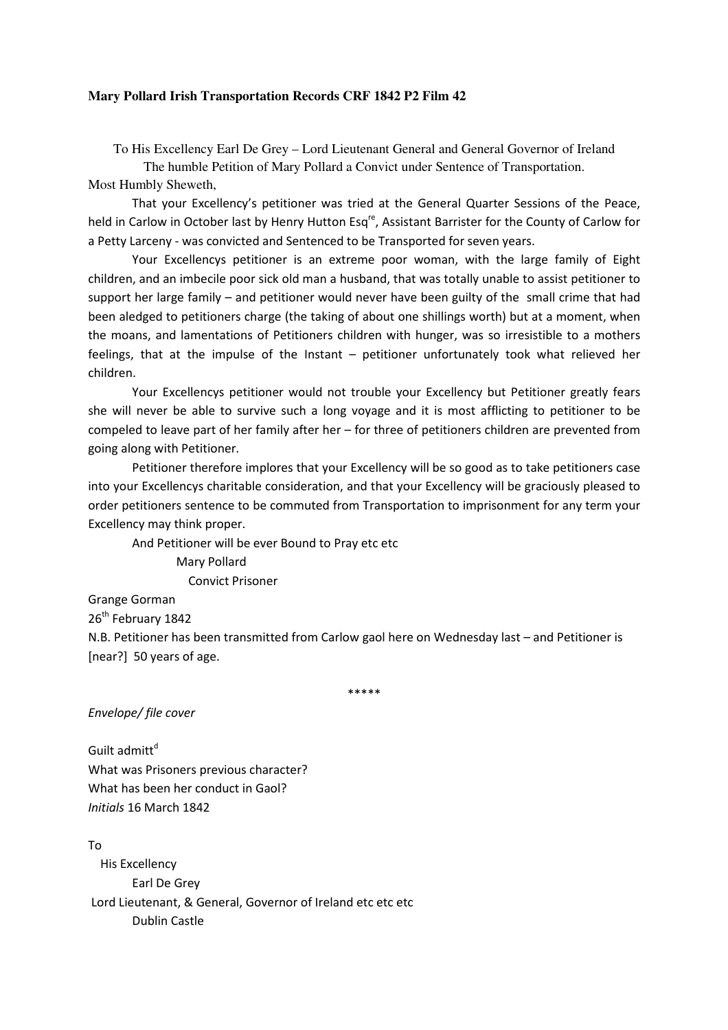## **Mary Pollard Irish Transportation Records CRF 1842 P2 Film 42**

To His Excellency Earl De Grey – Lord Lieutenant General and General Governor of Ireland

The humble Petition of Mary Pollard a Convict under Sentence of Transportation. Most Humbly Sheweth,

 That your Excellency's petitioner was tried at the General Quarter Sessions of the Peace, held in Carlow in October last by Henry Hutton Esq<sup>re</sup>, Assistant Barrister for the County of Carlow for a Petty Larceny - was convicted and Sentenced to be Transported for seven years.

 Your Excellencys petitioner is an extreme poor woman, with the large family of Eight children, and an imbecile poor sick old man a husband, that was totally unable to assist petitioner to support her large family – and petitioner would never have been guilty of the small crime that had been aledged to petitioners charge (the taking of about one shillings worth) but at a moment, when the moans, and lamentations of Petitioners children with hunger, was so irresistible to a mothers feelings, that at the impulse of the Instant – petitioner unfortunately took what relieved her children.

 Your Excellencys petitioner would not trouble your Excellency but Petitioner greatly fears she will never be able to survive such a long voyage and it is most afflicting to petitioner to be compeled to leave part of her family after her – for three of petitioners children are prevented from going along with Petitioner.

 Petitioner therefore implores that your Excellency will be so good as to take petitioners case into your Excellencys charitable consideration, and that your Excellency will be graciously pleased to order petitioners sentence to be commuted from Transportation to imprisonment for any term your Excellency may think proper.

And Petitioner will be ever Bound to Pray etc etc

 Mary Pollard Convict Prisoner

Grange Gorman

26<sup>th</sup> February 1842

N.B. Petitioner has been transmitted from Carlow gaol here on Wednesday last – and Petitioner is [near?] 50 years of age.

\*\*\*\*\*

Envelope/ file cover

Guilt admitt<sup>d</sup> What was Prisoners previous character? What has been her conduct in Gaol? Initials 16 March 1842

To His Excellency Earl De Grey Lord Lieutenant, & General, Governor of Ireland etc etc etc Dublin Castle